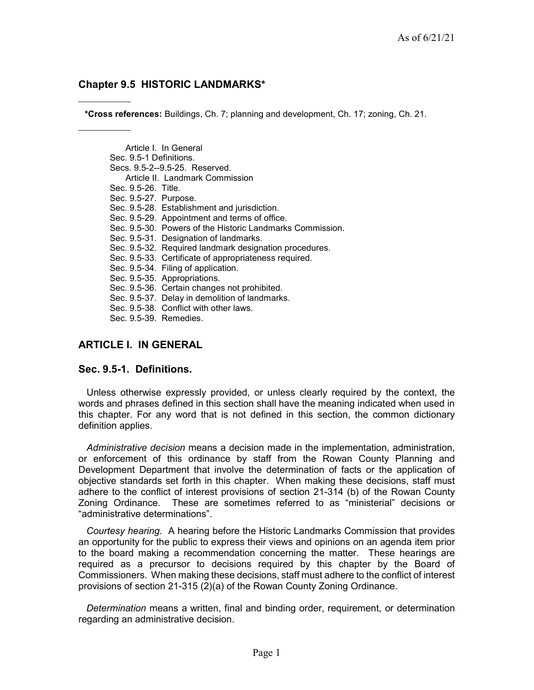### Chapter 9.5 HISTORIC LANDMARKS\*

\*Cross references: Buildings, Ch. 7; planning and development, Ch. 17; zoning, Ch. 21.

Article I. In General Sec. 9.5-1 Definitions. Secs. 9.5-2--9.5-25. Reserved. Article II. Landmark Commission Sec. 9.5-26. Title. Sec. 9.5-27. Purpose. Sec. 9.5-28. Establishment and jurisdiction. Sec. 9.5-29. Appointment and terms of office. Sec. 9.5-30. Powers of the Historic Landmarks Commission. Sec. 9.5-31. Designation of landmarks. Sec. 9.5-32. Required landmark designation procedures. Sec. 9.5-33. Certificate of appropriateness required. Sec. 9.5-34. Filing of application. Sec. 9.5-35. Appropriations. Sec. 9.5-36. Certain changes not prohibited. Sec. 9.5-37. Delay in demolition of landmarks. Sec. 9.5-38. Conflict with other laws. Sec. 9.5-39. Remedies.

# ARTICLE I. IN GENERAL

#### Sec. 9.5-1. Definitions.

Unless otherwise expressly provided, or unless clearly required by the context, the words and phrases defined in this section shall have the meaning indicated when used in this chapter. For any word that is not defined in this section, the common dictionary definition applies.

Administrative decision means a decision made in the implementation, administration, or enforcement of this ordinance by staff from the Rowan County Planning and Development Department that involve the determination of facts or the application of objective standards set forth in this chapter. When making these decisions, staff must adhere to the conflict of interest provisions of section 21-314 (b) of the Rowan County Zoning Ordinance. These are sometimes referred to as "ministerial" decisions or "administrative determinations".

Courtesy hearing. A hearing before the Historic Landmarks Commission that provides an opportunity for the public to express their views and opinions on an agenda item prior to the board making a recommendation concerning the matter. These hearings are required as a precursor to decisions required by this chapter by the Board of Commissioners. When making these decisions, staff must adhere to the conflict of interest provisions of section 21-315 (2)(a) of the Rowan County Zoning Ordinance.

Determination means a written, final and binding order, requirement, or determination regarding an administrative decision.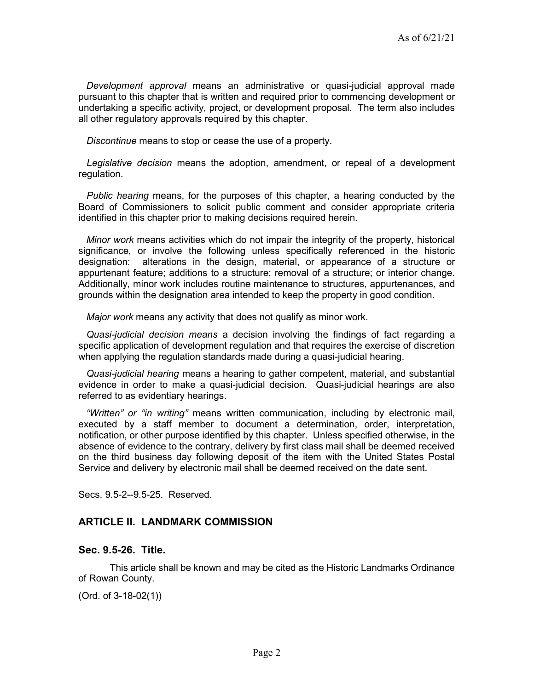Development approval means an administrative or quasi-judicial approval made pursuant to this chapter that is written and required prior to commencing development or undertaking a specific activity, project, or development proposal. The term also includes all other regulatory approvals required by this chapter.

Discontinue means to stop or cease the use of a property.

Legislative decision means the adoption, amendment, or repeal of a development regulation.

Public hearing means, for the purposes of this chapter, a hearing conducted by the Board of Commissioners to solicit public comment and consider appropriate criteria identified in this chapter prior to making decisions required herein.

Minor work means activities which do not impair the integrity of the property, historical significance, or involve the following unless specifically referenced in the historic designation: alterations in the design, material, or appearance of a structure or appurtenant feature; additions to a structure; removal of a structure; or interior change. Additionally, minor work includes routine maintenance to structures, appurtenances, and grounds within the designation area intended to keep the property in good condition.

Major work means any activity that does not qualify as minor work.

Quasi-judicial decision means a decision involving the findings of fact regarding a specific application of development regulation and that requires the exercise of discretion when applying the regulation standards made during a quasi-judicial hearing.

Quasi-judicial hearing means a hearing to gather competent, material, and substantial evidence in order to make a quasi-judicial decision. Quasi-judicial hearings are also referred to as evidentiary hearings.

"Written" or "in writing" means written communication, including by electronic mail, executed by a staff member to document a determination, order, interpretation, notification, or other purpose identified by this chapter. Unless specified otherwise, in the absence of evidence to the contrary, delivery by first class mail shall be deemed received on the third business day following deposit of the item with the United States Postal Service and delivery by electronic mail shall be deemed received on the date sent.

Secs. 9.5-2--9.5-25. Reserved.

## ARTICLE II. LANDMARK COMMISSION

### Sec. 9.5-26. Title.

This article shall be known and may be cited as the Historic Landmarks Ordinance of Rowan County.

(Ord. of 3-18-02(1))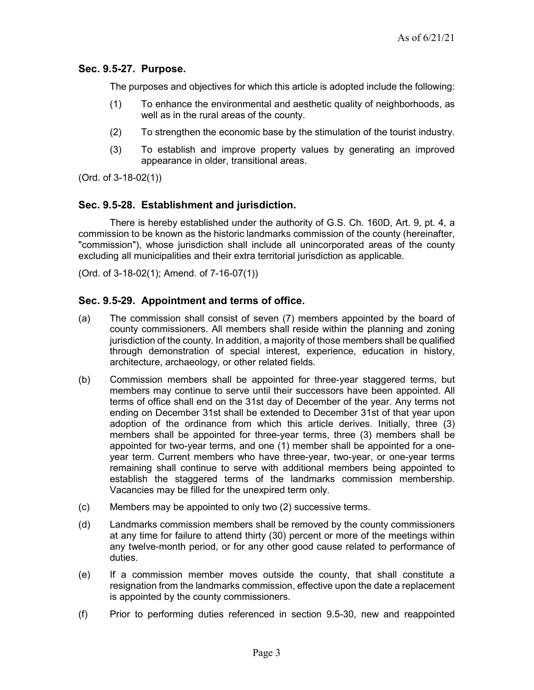## Sec. 9.5-27. Purpose.

The purposes and objectives for which this article is adopted include the following:

- (1) To enhance the environmental and aesthetic quality of neighborhoods, as well as in the rural areas of the county.
- (2) To strengthen the economic base by the stimulation of the tourist industry.
- (3) To establish and improve property values by generating an improved appearance in older, transitional areas.

(Ord. of 3-18-02(1))

# Sec. 9.5-28. Establishment and jurisdiction.

There is hereby established under the authority of G.S. Ch. 160D, Art. 9, pt. 4, a commission to be known as the historic landmarks commission of the county (hereinafter, "commission"), whose jurisdiction shall include all unincorporated areas of the county excluding all municipalities and their extra territorial jurisdiction as applicable.

(Ord. of 3-18-02(1); Amend. of 7-16-07(1))

# Sec. 9.5-29. Appointment and terms of office.

- (a) The commission shall consist of seven (7) members appointed by the board of county commissioners. All members shall reside within the planning and zoning jurisdiction of the county. In addition, a majority of those members shall be qualified through demonstration of special interest, experience, education in history, architecture, archaeology, or other related fields.
- (b) Commission members shall be appointed for three-year staggered terms, but members may continue to serve until their successors have been appointed. All terms of office shall end on the 31st day of December of the year. Any terms not ending on December 31st shall be extended to December 31st of that year upon adoption of the ordinance from which this article derives. Initially, three (3) members shall be appointed for three-year terms, three (3) members shall be appointed for two-year terms, and one (1) member shall be appointed for a oneyear term. Current members who have three-year, two-year, or one-year terms remaining shall continue to serve with additional members being appointed to establish the staggered terms of the landmarks commission membership. Vacancies may be filled for the unexpired term only.
- (c) Members may be appointed to only two (2) successive terms.
- (d) Landmarks commission members shall be removed by the county commissioners at any time for failure to attend thirty (30) percent or more of the meetings within any twelve-month period, or for any other good cause related to performance of duties.
- (e) If a commission member moves outside the county, that shall constitute a resignation from the landmarks commission, effective upon the date a replacement is appointed by the county commissioners.
- (f) Prior to performing duties referenced in section 9.5-30, new and reappointed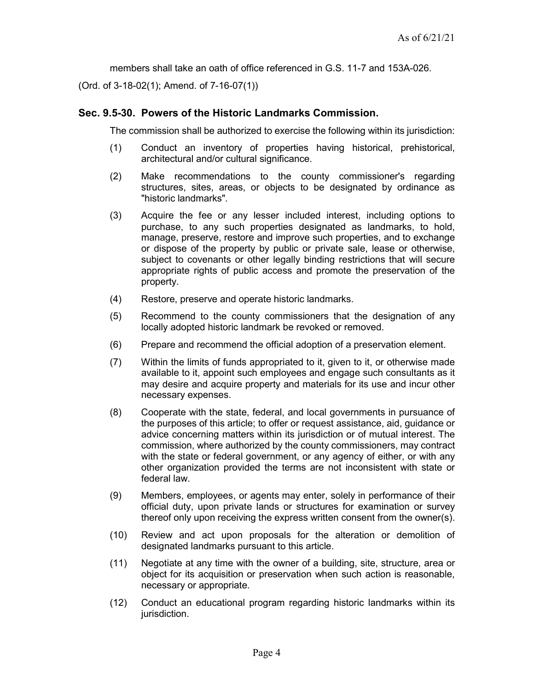members shall take an oath of office referenced in G.S. 11-7 and 153A-026.

(Ord. of 3-18-02(1); Amend. of 7-16-07(1))

### Sec. 9.5-30. Powers of the Historic Landmarks Commission.

The commission shall be authorized to exercise the following within its jurisdiction:

- (1) Conduct an inventory of properties having historical, prehistorical, architectural and/or cultural significance.
- (2) Make recommendations to the county commissioner's regarding structures, sites, areas, or objects to be designated by ordinance as "historic landmarks".
- (3) Acquire the fee or any lesser included interest, including options to purchase, to any such properties designated as landmarks, to hold, manage, preserve, restore and improve such properties, and to exchange or dispose of the property by public or private sale, lease or otherwise, subject to covenants or other legally binding restrictions that will secure appropriate rights of public access and promote the preservation of the property.
- (4) Restore, preserve and operate historic landmarks.
- (5) Recommend to the county commissioners that the designation of any locally adopted historic landmark be revoked or removed.
- (6) Prepare and recommend the official adoption of a preservation element.
- (7) Within the limits of funds appropriated to it, given to it, or otherwise made available to it, appoint such employees and engage such consultants as it may desire and acquire property and materials for its use and incur other necessary expenses.
- (8) Cooperate with the state, federal, and local governments in pursuance of the purposes of this article; to offer or request assistance, aid, guidance or advice concerning matters within its jurisdiction or of mutual interest. The commission, where authorized by the county commissioners, may contract with the state or federal government, or any agency of either, or with any other organization provided the terms are not inconsistent with state or federal law.
- (9) Members, employees, or agents may enter, solely in performance of their official duty, upon private lands or structures for examination or survey thereof only upon receiving the express written consent from the owner(s).
- (10) Review and act upon proposals for the alteration or demolition of designated landmarks pursuant to this article.
- (11) Negotiate at any time with the owner of a building, site, structure, area or object for its acquisition or preservation when such action is reasonable, necessary or appropriate.
- (12) Conduct an educational program regarding historic landmarks within its jurisdiction.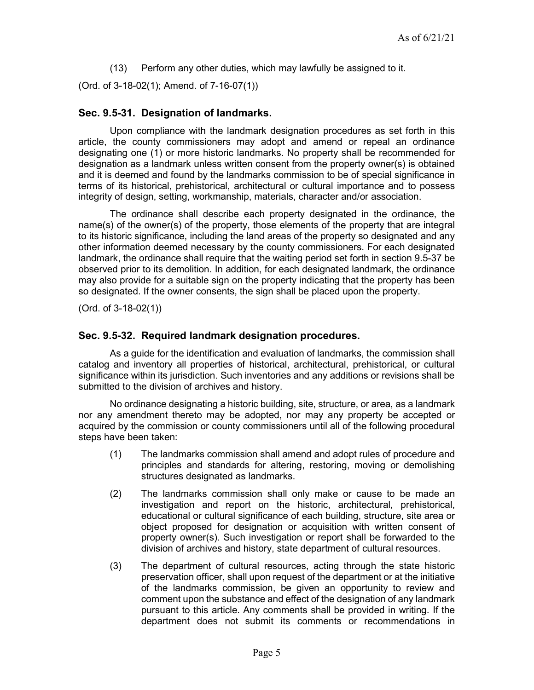(13) Perform any other duties, which may lawfully be assigned to it.

(Ord. of 3-18-02(1); Amend. of 7-16-07(1))

### Sec. 9.5-31. Designation of landmarks.

Upon compliance with the landmark designation procedures as set forth in this article, the county commissioners may adopt and amend or repeal an ordinance designating one (1) or more historic landmarks. No property shall be recommended for designation as a landmark unless written consent from the property owner(s) is obtained and it is deemed and found by the landmarks commission to be of special significance in terms of its historical, prehistorical, architectural or cultural importance and to possess integrity of design, setting, workmanship, materials, character and/or association.

The ordinance shall describe each property designated in the ordinance, the name(s) of the owner(s) of the property, those elements of the property that are integral to its historic significance, including the land areas of the property so designated and any other information deemed necessary by the county commissioners. For each designated landmark, the ordinance shall require that the waiting period set forth in section 9.5-37 be observed prior to its demolition. In addition, for each designated landmark, the ordinance may also provide for a suitable sign on the property indicating that the property has been so designated. If the owner consents, the sign shall be placed upon the property.

(Ord. of 3-18-02(1))

### Sec. 9.5-32. Required landmark designation procedures.

As a guide for the identification and evaluation of landmarks, the commission shall catalog and inventory all properties of historical, architectural, prehistorical, or cultural significance within its jurisdiction. Such inventories and any additions or revisions shall be submitted to the division of archives and history.

No ordinance designating a historic building, site, structure, or area, as a landmark nor any amendment thereto may be adopted, nor may any property be accepted or acquired by the commission or county commissioners until all of the following procedural steps have been taken:

- (1) The landmarks commission shall amend and adopt rules of procedure and principles and standards for altering, restoring, moving or demolishing structures designated as landmarks.
- (2) The landmarks commission shall only make or cause to be made an investigation and report on the historic, architectural, prehistorical, educational or cultural significance of each building, structure, site area or object proposed for designation or acquisition with written consent of property owner(s). Such investigation or report shall be forwarded to the division of archives and history, state department of cultural resources.
- (3) The department of cultural resources, acting through the state historic preservation officer, shall upon request of the department or at the initiative of the landmarks commission, be given an opportunity to review and comment upon the substance and effect of the designation of any landmark pursuant to this article. Any comments shall be provided in writing. If the department does not submit its comments or recommendations in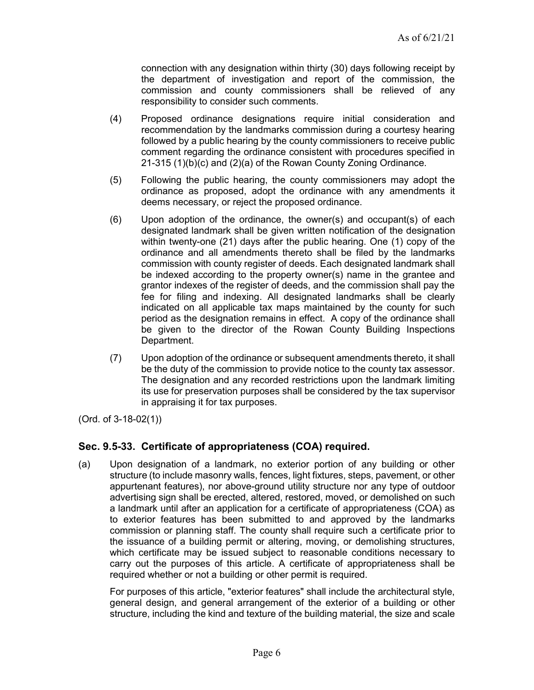connection with any designation within thirty (30) days following receipt by the department of investigation and report of the commission, the commission and county commissioners shall be relieved of any responsibility to consider such comments.

- (4) Proposed ordinance designations require initial consideration and recommendation by the landmarks commission during a courtesy hearing followed by a public hearing by the county commissioners to receive public comment regarding the ordinance consistent with procedures specified in 21-315 (1)(b)(c) and (2)(a) of the Rowan County Zoning Ordinance.
- (5) Following the public hearing, the county commissioners may adopt the ordinance as proposed, adopt the ordinance with any amendments it deems necessary, or reject the proposed ordinance.
- (6) Upon adoption of the ordinance, the owner(s) and occupant(s) of each designated landmark shall be given written notification of the designation within twenty-one (21) days after the public hearing. One (1) copy of the ordinance and all amendments thereto shall be filed by the landmarks commission with county register of deeds. Each designated landmark shall be indexed according to the property owner(s) name in the grantee and grantor indexes of the register of deeds, and the commission shall pay the fee for filing and indexing. All designated landmarks shall be clearly indicated on all applicable tax maps maintained by the county for such period as the designation remains in effect. A copy of the ordinance shall be given to the director of the Rowan County Building Inspections Department.
- (7) Upon adoption of the ordinance or subsequent amendments thereto, it shall be the duty of the commission to provide notice to the county tax assessor. The designation and any recorded restrictions upon the landmark limiting its use for preservation purposes shall be considered by the tax supervisor in appraising it for tax purposes.

(Ord. of 3-18-02(1))

## Sec. 9.5-33. Certificate of appropriateness (COA) required.

(a) Upon designation of a landmark, no exterior portion of any building or other structure (to include masonry walls, fences, light fixtures, steps, pavement, or other appurtenant features), nor above-ground utility structure nor any type of outdoor advertising sign shall be erected, altered, restored, moved, or demolished on such a landmark until after an application for a certificate of appropriateness (COA) as to exterior features has been submitted to and approved by the landmarks commission or planning staff. The county shall require such a certificate prior to the issuance of a building permit or altering, moving, or demolishing structures, which certificate may be issued subject to reasonable conditions necessary to carry out the purposes of this article. A certificate of appropriateness shall be required whether or not a building or other permit is required.

For purposes of this article, "exterior features" shall include the architectural style, general design, and general arrangement of the exterior of a building or other structure, including the kind and texture of the building material, the size and scale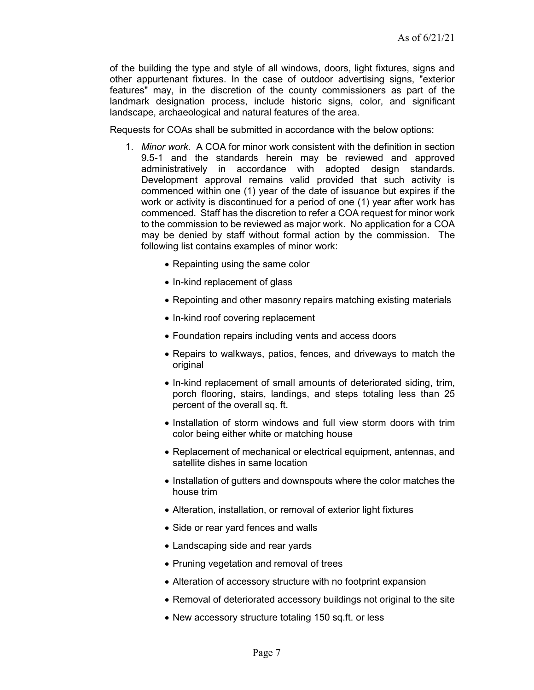of the building the type and style of all windows, doors, light fixtures, signs and other appurtenant fixtures. In the case of outdoor advertising signs, "exterior features" may, in the discretion of the county commissioners as part of the landmark designation process, include historic signs, color, and significant landscape, archaeological and natural features of the area.

Requests for COAs shall be submitted in accordance with the below options:

- 1. Minor work. A COA for minor work consistent with the definition in section 9.5-1 and the standards herein may be reviewed and approved administratively in accordance with adopted design standards. Development approval remains valid provided that such activity is commenced within one (1) year of the date of issuance but expires if the work or activity is discontinued for a period of one (1) year after work has commenced. Staff has the discretion to refer a COA request for minor work to the commission to be reviewed as major work. No application for a COA may be denied by staff without formal action by the commission. The following list contains examples of minor work:
	- Repainting using the same color
	- In-kind replacement of glass
	- Repointing and other masonry repairs matching existing materials
	- In-kind roof covering replacement
	- Foundation repairs including vents and access doors
	- Repairs to walkways, patios, fences, and driveways to match the original
	- In-kind replacement of small amounts of deteriorated siding, trim, porch flooring, stairs, landings, and steps totaling less than 25 percent of the overall sq. ft.
	- Installation of storm windows and full view storm doors with trim color being either white or matching house
	- Replacement of mechanical or electrical equipment, antennas, and satellite dishes in same location
	- Installation of gutters and downspouts where the color matches the house trim
	- Alteration, installation, or removal of exterior light fixtures
	- Side or rear yard fences and walls
	- Landscaping side and rear yards
	- Pruning vegetation and removal of trees
	- Alteration of accessory structure with no footprint expansion
	- Removal of deteriorated accessory buildings not original to the site
	- New accessory structure totaling 150 sq.ft. or less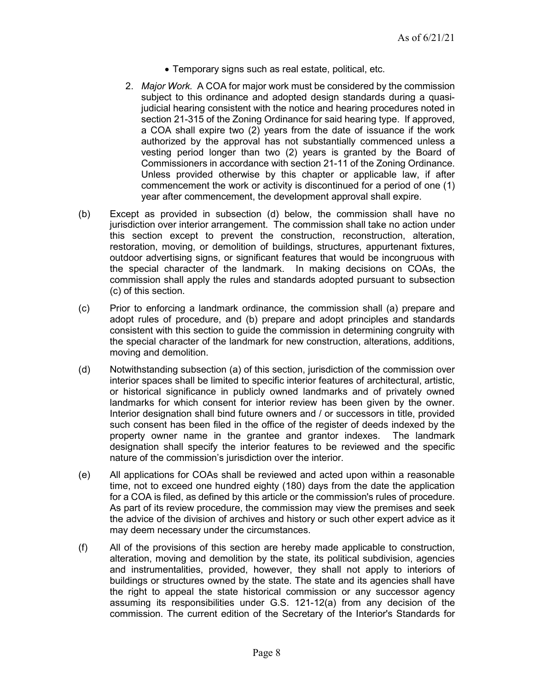- Temporary signs such as real estate, political, etc.
- 2. Major Work. A COA for major work must be considered by the commission subject to this ordinance and adopted design standards during a quasijudicial hearing consistent with the notice and hearing procedures noted in section 21-315 of the Zoning Ordinance for said hearing type. If approved, a COA shall expire two (2) years from the date of issuance if the work authorized by the approval has not substantially commenced unless a vesting period longer than two (2) years is granted by the Board of Commissioners in accordance with section 21-11 of the Zoning Ordinance. Unless provided otherwise by this chapter or applicable law, if after commencement the work or activity is discontinued for a period of one (1) year after commencement, the development approval shall expire.
- (b) Except as provided in subsection (d) below, the commission shall have no jurisdiction over interior arrangement. The commission shall take no action under this section except to prevent the construction, reconstruction, alteration, restoration, moving, or demolition of buildings, structures, appurtenant fixtures, outdoor advertising signs, or significant features that would be incongruous with the special character of the landmark. In making decisions on COAs, the commission shall apply the rules and standards adopted pursuant to subsection (c) of this section.
- (c) Prior to enforcing a landmark ordinance, the commission shall (a) prepare and adopt rules of procedure, and (b) prepare and adopt principles and standards consistent with this section to guide the commission in determining congruity with the special character of the landmark for new construction, alterations, additions, moving and demolition.
- (d) Notwithstanding subsection (a) of this section, jurisdiction of the commission over interior spaces shall be limited to specific interior features of architectural, artistic, or historical significance in publicly owned landmarks and of privately owned landmarks for which consent for interior review has been given by the owner. Interior designation shall bind future owners and / or successors in title, provided such consent has been filed in the office of the register of deeds indexed by the property owner name in the grantee and grantor indexes. The landmark designation shall specify the interior features to be reviewed and the specific nature of the commission's jurisdiction over the interior.
- (e) All applications for COAs shall be reviewed and acted upon within a reasonable time, not to exceed one hundred eighty (180) days from the date the application for a COA is filed, as defined by this article or the commission's rules of procedure. As part of its review procedure, the commission may view the premises and seek the advice of the division of archives and history or such other expert advice as it may deem necessary under the circumstances.
- (f) All of the provisions of this section are hereby made applicable to construction, alteration, moving and demolition by the state, its political subdivision, agencies and instrumentalities, provided, however, they shall not apply to interiors of buildings or structures owned by the state. The state and its agencies shall have the right to appeal the state historical commission or any successor agency assuming its responsibilities under G.S. 121-12(a) from any decision of the commission. The current edition of the Secretary of the Interior's Standards for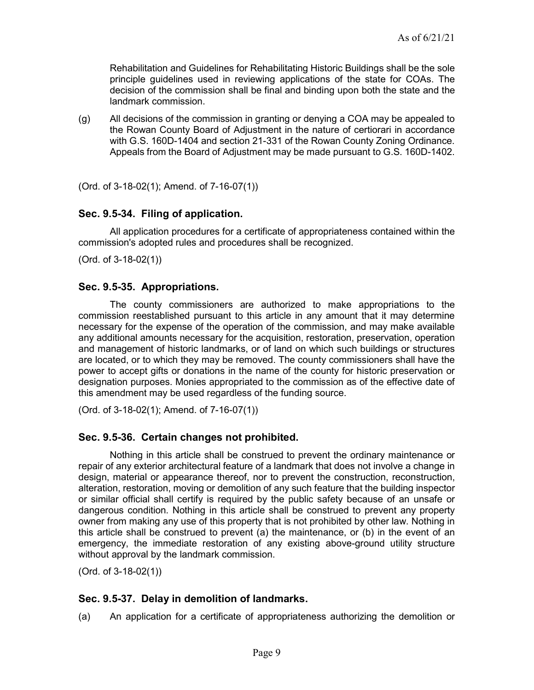Rehabilitation and Guidelines for Rehabilitating Historic Buildings shall be the sole principle guidelines used in reviewing applications of the state for COAs. The decision of the commission shall be final and binding upon both the state and the landmark commission.

(g) All decisions of the commission in granting or denying a COA may be appealed to the Rowan County Board of Adjustment in the nature of certiorari in accordance with G.S. 160D-1404 and section 21-331 of the Rowan County Zoning Ordinance. Appeals from the Board of Adjustment may be made pursuant to G.S. 160D-1402.

(Ord. of 3-18-02(1); Amend. of 7-16-07(1))

### Sec. 9.5-34. Filing of application.

All application procedures for a certificate of appropriateness contained within the commission's adopted rules and procedures shall be recognized.

(Ord. of 3-18-02(1))

### Sec. 9.5-35. Appropriations.

The county commissioners are authorized to make appropriations to the commission reestablished pursuant to this article in any amount that it may determine necessary for the expense of the operation of the commission, and may make available any additional amounts necessary for the acquisition, restoration, preservation, operation and management of historic landmarks, or of land on which such buildings or structures are located, or to which they may be removed. The county commissioners shall have the power to accept gifts or donations in the name of the county for historic preservation or designation purposes. Monies appropriated to the commission as of the effective date of this amendment may be used regardless of the funding source.

(Ord. of 3-18-02(1); Amend. of 7-16-07(1))

### Sec. 9.5-36. Certain changes not prohibited.

Nothing in this article shall be construed to prevent the ordinary maintenance or repair of any exterior architectural feature of a landmark that does not involve a change in design, material or appearance thereof, nor to prevent the construction, reconstruction, alteration, restoration, moving or demolition of any such feature that the building inspector or similar official shall certify is required by the public safety because of an unsafe or dangerous condition. Nothing in this article shall be construed to prevent any property owner from making any use of this property that is not prohibited by other law. Nothing in this article shall be construed to prevent (a) the maintenance, or (b) in the event of an emergency, the immediate restoration of any existing above-ground utility structure without approval by the landmark commission.

(Ord. of 3-18-02(1))

### Sec. 9.5-37. Delay in demolition of landmarks.

(a) An application for a certificate of appropriateness authorizing the demolition or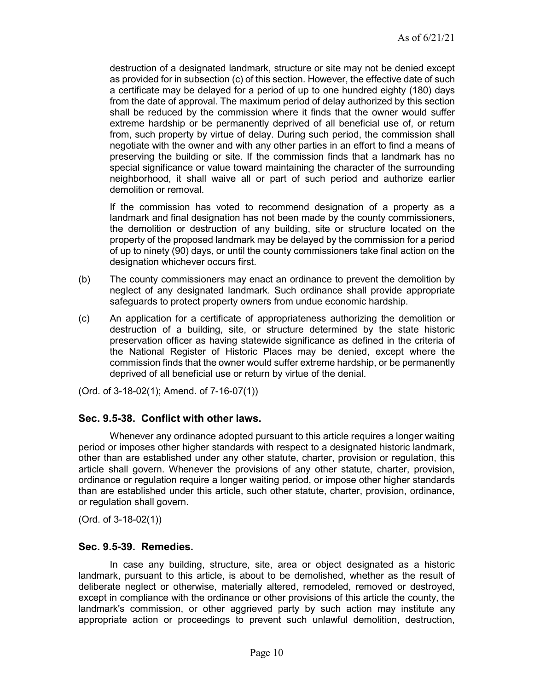destruction of a designated landmark, structure or site may not be denied except as provided for in subsection (c) of this section. However, the effective date of such a certificate may be delayed for a period of up to one hundred eighty (180) days from the date of approval. The maximum period of delay authorized by this section shall be reduced by the commission where it finds that the owner would suffer extreme hardship or be permanently deprived of all beneficial use of, or return from, such property by virtue of delay. During such period, the commission shall negotiate with the owner and with any other parties in an effort to find a means of preserving the building or site. If the commission finds that a landmark has no special significance or value toward maintaining the character of the surrounding neighborhood, it shall waive all or part of such period and authorize earlier demolition or removal.

If the commission has voted to recommend designation of a property as a landmark and final designation has not been made by the county commissioners, the demolition or destruction of any building, site or structure located on the property of the proposed landmark may be delayed by the commission for a period of up to ninety (90) days, or until the county commissioners take final action on the designation whichever occurs first.

- (b) The county commissioners may enact an ordinance to prevent the demolition by neglect of any designated landmark. Such ordinance shall provide appropriate safeguards to protect property owners from undue economic hardship.
- (c) An application for a certificate of appropriateness authorizing the demolition or destruction of a building, site, or structure determined by the state historic preservation officer as having statewide significance as defined in the criteria of the National Register of Historic Places may be denied, except where the commission finds that the owner would suffer extreme hardship, or be permanently deprived of all beneficial use or return by virtue of the denial.

(Ord. of 3-18-02(1); Amend. of 7-16-07(1))

### Sec. 9.5-38. Conflict with other laws.

Whenever any ordinance adopted pursuant to this article requires a longer waiting period or imposes other higher standards with respect to a designated historic landmark, other than are established under any other statute, charter, provision or regulation, this article shall govern. Whenever the provisions of any other statute, charter, provision, ordinance or regulation require a longer waiting period, or impose other higher standards than are established under this article, such other statute, charter, provision, ordinance, or regulation shall govern.

(Ord. of 3-18-02(1))

#### Sec. 9.5-39. Remedies.

In case any building, structure, site, area or object designated as a historic landmark, pursuant to this article, is about to be demolished, whether as the result of deliberate neglect or otherwise, materially altered, remodeled, removed or destroyed, except in compliance with the ordinance or other provisions of this article the county, the landmark's commission, or other aggrieved party by such action may institute any appropriate action or proceedings to prevent such unlawful demolition, destruction,